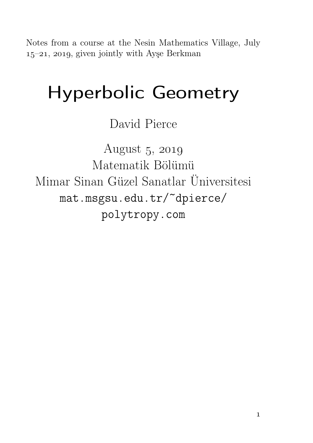Notes from a course at the Nesin Mathematics Village, July  $15-21$ , 2019, given jointly with Ayse Berkman

# Hyperbolic Geometry

David Pierce

August  $5, 2019$ Matematik Bölümü Mimar Sinan Güzel Sanatlar Üniversitesi mat.msgsu.edu.tr/~dpierce/ polytropy.com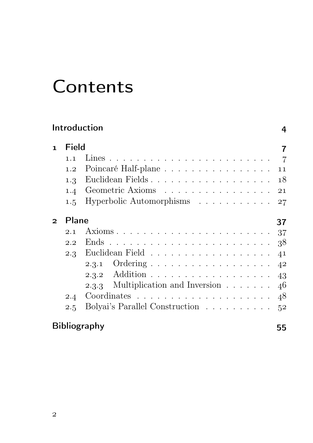## **Contents**

| Introduction<br>4 |       |                                                  |    |  |  |
|-------------------|-------|--------------------------------------------------|----|--|--|
| $\mathbf{1}$      | Field |                                                  | 7  |  |  |
|                   | 1.1   |                                                  |    |  |  |
|                   | 1.2   | Poincaré Half-plane 11                           |    |  |  |
|                   | 1.3   | Euclidean Fields 18                              |    |  |  |
|                   | 1.4   | Geometric Axioms 21                              |    |  |  |
|                   | 1.5   | Hyperbolic Automorphisms                         | 27 |  |  |
| $\mathcal{P}$     | Plane |                                                  | 37 |  |  |
|                   | 2.1   |                                                  | 37 |  |  |
|                   | 2.2   | Ends                                             | 38 |  |  |
|                   |       | 2.3 Euclidean Field 41                           |    |  |  |
|                   |       |                                                  | 42 |  |  |
|                   |       |                                                  | 43 |  |  |
|                   |       | 2.3.3 Multiplication and Inversion $\dots \dots$ | 46 |  |  |
|                   | 2.4   |                                                  | 48 |  |  |
|                   | 2.5   | Bolyai's Parallel Construction                   | 52 |  |  |
|                   |       | <b>Bibliography</b>                              | 55 |  |  |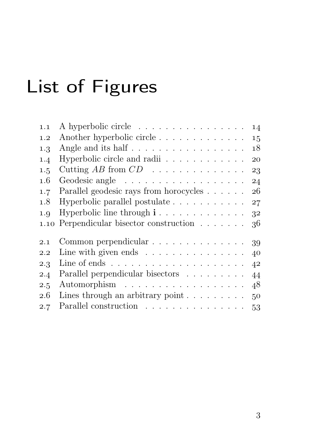# List of Figures

| 1.1     | A hyperbolic circle                                                | 14 |
|---------|--------------------------------------------------------------------|----|
| 1.2     | Another hyperbolic circle                                          | 15 |
| 1.3     | Angle and its half 18                                              |    |
| 1.4     | Hyperbolic circle and radii                                        | 20 |
| 1.5     |                                                                    |    |
| $1.6\,$ |                                                                    | 24 |
| 1.7     | Parallel geodesic rays from horocycles 26                          |    |
| 1.8     | Hyperbolic parallel postulate $\ldots \ldots \ldots \ldots 27$     |    |
| 1.9     | Hyperbolic line through $i \dots \dots \dots \dots \dots$ 32       |    |
| 1.10    | Perpendicular bisector construction $\ldots \ldots$ 36             |    |
| 2.1     | Common perpendicular 39                                            |    |
| $2.2\,$ | Line with given ends $\ldots \ldots \ldots \ldots \ldots$ 40       |    |
| 2.3     | Line of ends $\ldots \ldots \ldots \ldots \ldots \ldots \ldots$ 42 |    |
| 2.4     | Parallel perpendicular bisectors 44                                |    |
| 2.5     | Automorphism 48                                                    |    |
| 2.6     | Lines through an arbitrary point $\ldots \ldots \ldots$ 50         |    |
| 2.7     | Parallel construction $\ldots \ldots \ldots \ldots \ldots 53$      |    |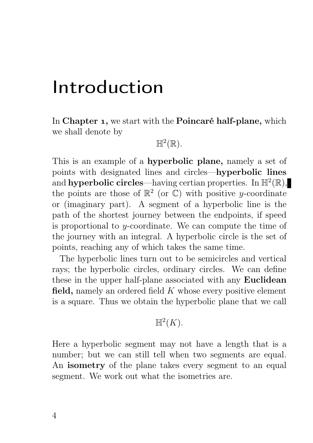## Introduction

In Chapter 1, we start with the Poincaré half-plane, which we shall denote by

#### $\mathbb{H}^2(\mathbb{R})$ .

This is an example of a hyperbolic plane, namely a set of points with designated lines and circles—hyperbolic lines and **hyperbolic circles**—having certian properties. In  $\mathbb{H}^2(\mathbb{R})$ , the points are those of  $\mathbb{R}^2$  (or  $\mathbb{C}$ ) with positive y-coordinate or (imaginary part). A segment of a hyperbolic line is the path of the shortest journey between the endpoints, if speed is proportional to  $y$ -coordinate. We can compute the time of the journey with an integral. A hyperbolic circle is the set of points, reaching any of which takes the same time.

The hyperbolic lines turn out to be semicircles and vertical rays; the hyperbolic circles, ordinary circles. We can define these in the upper half-plane associated with any Euclidean field, namely an ordered field  $K$  whose every positive element is a square. Thus we obtain the hyperbolic plane that we call

#### $\mathbb{H}^2(K).$

Here a hyperbolic segment may not have a length that is a number; but we can still tell when two segments are equal. An **isometry** of the plane takes every segment to an equal segment. We work out what the isometries are.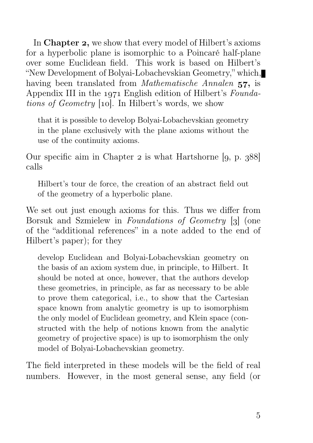In Chapter 2, we show that every model of Hilbert's axioms for a hyperbolic plane is isomorphic to a Poincaré half-plane over some Euclidean field. This work is based on Hilbert's "New Development of Bolyai-Lobachevskian Geometry," which, having been translated from *Mathematische Annalen* 57, is Appendix III in the  $1971$  English edition of Hilbert's Foundations of Geometry [10]. In Hilbert's words, we show

that it is possible to develop Bolyai-Lobachevskian geometry in the plane exclusively with the plane axioms without the use of the continuity axioms.

Our specific aim in Chapter  $\alpha$  is what Hartshorne [q, p. 388] calls

Hilbert's tour de force, the creation of an abstract field out of the geometry of a hyperbolic plane.

We set out just enough axioms for this. Thus we differ from Borsuk and Szmielew in *Foundations of Geometry* [3] (one of the "additional references" in a note added to the end of Hilbert's paper); for they

develop Euclidean and Bolyai-Lobachevskian geometry on the basis of an axiom system due, in principle, to Hilbert. It should be noted at once, however, that the authors develop these geometries, in principle, as far as necessary to be able to prove them categorical, i.e., to show that the Cartesian space known from analytic geometry is up to isomorphism the only model of Euclidean geometry, and Klein space (constructed with the help of notions known from the analytic geometry of projective space) is up to isomorphism the only model of Bolyai-Lobachevskian geometry.

The field interpreted in these models will be the field of real numbers. However, in the most general sense, any field (or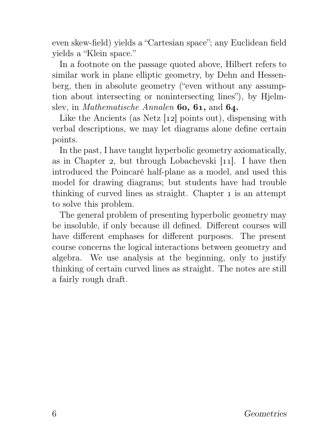even skew-field) yields a "Cartesian space"; any Euclidean field yields a "Klein space."

In a footnote on the passage quoted above, Hilbert refers to similar work in plane elliptic geometry, by Dehn and Hessenberg, then in absolute geometry ("even without any assumption about intersecting or nonintersecting lines"), by Hjelmslev, in Mathematische Annalen  $60, 61,$  and  $64$ .

Like the Ancients (as Netz  $[12]$  points out), dispensing with verbal descriptions, we may let diagrams alone define certain points.

In the past, I have taught hyperbolic geometry axiomatically, as in Chapter 2, but through Lobachevski  $[11]$ . I have then introduced the Poincaré half-plane as a model, and used this model for drawing diagrams; but students have had trouble thinking of curved lines as straight. Chapter is an attempt to solve this problem.

The general problem of presenting hyperbolic geometry may be insoluble, if only because ill defined. Different courses will have different emphases for different purposes. The present course concerns the logical interactions between geometry and algebra. We use analysis at the beginning, only to justify thinking of certain curved lines as straight. The notes are still a fairly rough draft.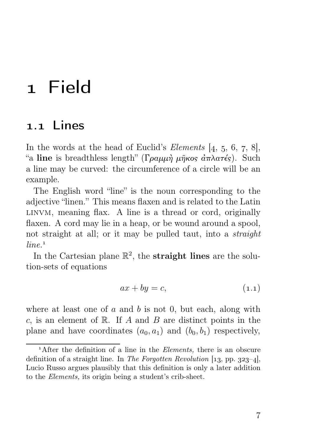## Field

### . Lines

In the words at the head of Euclid's *Elements*  $[4, 5, 6, 7, 8]$ , "a line is breadthless length" (Γραμμή μήκος άπλατές). Such a line may be curved: the circumference of a circle will be an example.

The English word "line" is the noun corresponding to the adjective "linen." This means flaxen and is related to the Latin linvm, meaning flax. A line is a thread or cord, originally flaxen. A cord may lie in a heap, or be wound around a spool, not straight at all; or it may be pulled taut, into a straight  $line^{-1}$ 

In the Cartesian plane  $\mathbb{R}^2$ , the **straight lines** are the solution-sets of equations

$$
ax + by = c,\tag{1.1}
$$

where at least one of  $a$  and  $b$  is not 0, but each, along with c, is an element of  $\mathbb R$ . If A and B are distinct points in the plane and have coordinates  $(a_0, a_1)$  and  $(b_0, b_1)$  respectively,

<sup>&</sup>lt;sup>1</sup>After the definition of a line in the *Elements*, there is an obscure definition of a straight line. In The Forgotten Revolution [13, pp. 323-4], Lucio Russo argues plausibly that this definition is only a later addition to the Elements, its origin being a student's crib-sheet.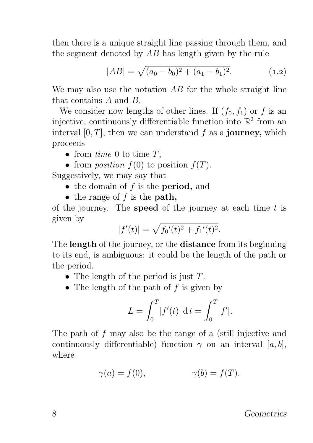then there is a unique straight line passing through them, and the segment denoted by AB has length given by the rule

$$
|AB| = \sqrt{(a_0 - b_0)^2 + (a_1 - b_1)^2}.
$$
 (1.2)

We may also use the notation AB for the whole straight line that contains A and B.

We consider now lengths of other lines. If  $(f_0, f_1)$  or f is an injective, continuously differentiable function into  $\mathbb{R}^2$  from an interval  $[0, T]$ , then we can understand f as a **journey**, which proceeds

- from time 0 to time  $T$ ,
- from *position*  $f(0)$  to position  $f(T)$ .

Suggestively, we may say that

- $\bullet$  the domain of f is the **period**, and
- the range of  $f$  is the **path**,

of the journey. The **speed** of the journey at each time  $t$  is given by

$$
|f'(t)| = \sqrt{f_0'(t)^2 + f_1'(t)^2}.
$$

The **length** of the journey, or the **distance** from its beginning to its end, is ambiguous: it could be the length of the path or the period.

- The length of the period is just T.
- The length of the path of  $f$  is given by

$$
L = \int_0^T |f'(t)| dt = \int_0^T |f'|.
$$

The path of f may also be the range of a (still injective and continuously differentiable) function  $\gamma$  on an interval [a, b], where

$$
\gamma(a) = f(0), \qquad \gamma(b) = f(T).
$$

Geometries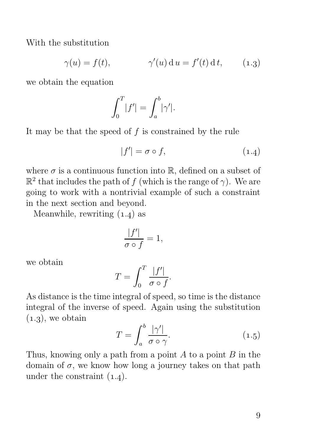With the substitution

$$
\gamma(u) = f(t), \qquad \gamma'(u) \, \mathrm{d} \, u = f'(t) \, \mathrm{d} \, t, \qquad (1.3)
$$

we obtain the equation

$$
\int_0^T |f'| = \int_a^b |\gamma'|.
$$

It may be that the speed of  $f$  is constrained by the rule

$$
|f'| = \sigma \circ f,\tag{1.4}
$$

where  $\sigma$  is a continuous function into  $\mathbb{R}$ , defined on a subset of  $\mathbb{R}^2$  that includes the path of f (which is the range of  $\gamma$ ). We are going to work with a nontrivial example of such a constraint in the next section and beyond.

Meanwhile, rewriting  $(1.4)$  as

$$
\frac{|f'|}{\sigma \circ f} = 1,
$$

we obtain

$$
T = \int_0^T \frac{|f'|}{\sigma \circ f}.
$$

As distance is the time integral of speed, so time is the distance integral of the inverse of speed. Again using the substitution  $(1.3)$ , we obtain

$$
T = \int_{a}^{b} \frac{|\gamma'|}{\sigma \circ \gamma}.
$$
 (1.5)

Thus, knowing only a path from a point  $A$  to a point  $B$  in the domain of  $\sigma$ , we know how long a journey takes on that path under the constraint  $(1.4)$ .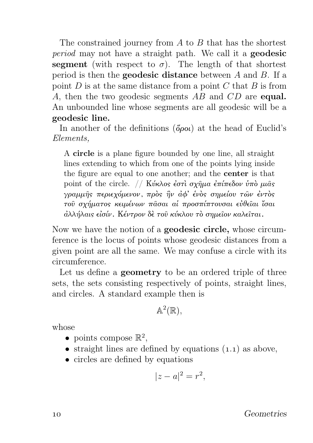The constrained journey from  $A$  to  $B$  that has the shortest period may not have a straight path. We call it a geodesic segment (with respect to  $\sigma$ ). The length of that shortest period is then the geodesic distance between A and B. If a point  $D$  is at the same distance from a point  $C$  that  $B$  is from A, then the two geodesic segments AB and CD are **equal.** An unbounded line whose segments are all geodesic will be a geodesic line.

In another of the definitions  $(\delta \rho \omega)$  at the head of Euclid's Elements,

A circle is a plane figure bounded by one line, all straight lines extending to which from one of the points lying inside the figure are equal to one another; and the center is that point of the circle. // Κύκλος έστι σχήμα έπίπεδον ύπο μιας γραμμῆς περιεχόμενον, πρὸς ἣν ἀφ' ἑνὸς σημείου τῶν ἐντὸς τοῦ σχήματος κειμένων πᾶσαι αἱ προσπίπτουσαι εὐθεῖαι ἴσαι ἀλλήλαις εἰσίν. Κέντρον δὲ τοῦ κύκλου τὸ σημεῖον καλεῖται.

Now we have the notion of a geodesic circle, whose circumference is the locus of points whose geodesic distances from a given point are all the same. We may confuse a circle with its circumference.

Let us define a **geometry** to be an ordered triple of three sets, the sets consisting respectively of points, straight lines, and circles. A standard example then is

$$
\mathbb{A}^2(\mathbb{R}),
$$

whose

- points compose  $\mathbb{R}^2$ ,
- straight lines are defined by equations  $(1.1)$  as above,
- circles are defined by equations

$$
|z - a|^2 = r^2,
$$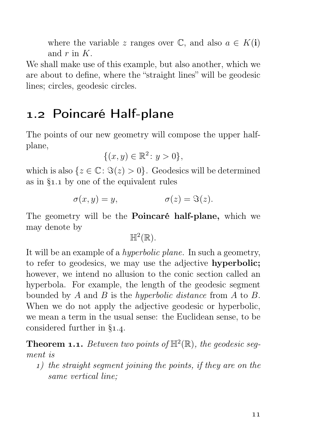where the variable z ranges over  $\mathbb{C}$ , and also  $a \in K(i)$ and  $r$  in  $K$ .

We shall make use of this example, but also another, which we are about to define, where the "straight lines" will be geodesic lines; circles, geodesic circles.

## 1.2 Poincaré Half-plane

The points of our new geometry will compose the upper halfplane,

$$
\{(x,y)\in\mathbb{R}^2\colon y>0\},\
$$

which is also  $\{z \in \mathbb{C} : \Im(z) > 0\}$ . Geodesics will be determined as in  $\S_{1.1}$  by one of the equivalent rules

$$
\sigma(x, y) = y, \qquad \sigma(z) = \Im(z).
$$

The geometry will be the Poincaré half-plane, which we may denote by

 $\mathbb{H}^2(\mathbb{R})$ .

It will be an example of a hyperbolic plane. In such a geometry, to refer to geodesics, we may use the adjective hyperbolic; however, we intend no allusion to the conic section called an hyperbola. For example, the length of the geodesic segment bounded by A and B is the hyperbolic distance from A to B. When we do not apply the adjective geodesic or hyperbolic, we mean a term in the usual sense: the Euclidean sense, to be considered further in  $\S_{1.4}$ .

**Theorem 1.1.** Between two points of  $\mathbb{H}^2(\mathbb{R})$ , the geodesic segment is

) the straight segment joining the points, if they are on the same vertical line;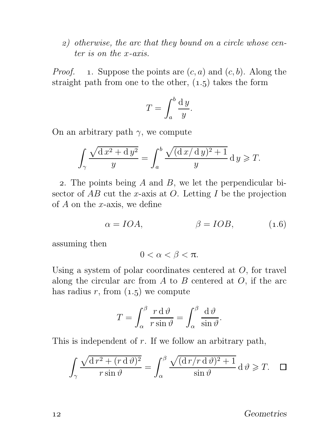) otherwise, the arc that they bound on a circle whose center is on the x-axis.

*Proof.* 1. Suppose the points are  $(c, a)$  and  $(c, b)$ . Along the straight path from one to the other,  $(1.5)$  takes the form

$$
T = \int_{a}^{b} \frac{\mathrm{d}y}{y}.
$$

On an arbitrary path  $\gamma$ , we compute

$$
\int_{\gamma} \frac{\sqrt{\mathrm{d}x^2 + \mathrm{d}y^2}}{y} = \int_{a}^{b} \frac{\sqrt{(\mathrm{d}x/\mathrm{d}y)^2 + 1}}{y} \mathrm{d}y \geqslant T.
$$

2. The points being  $A$  and  $B$ , we let the perpendicular bisector of  $AB$  cut the x-axis at O. Letting I be the projection of  $A$  on the x-axis, we define

$$
\alpha = IOA, \qquad \beta = IOB, \qquad (1.6)
$$

assuming then

$$
0<\alpha<\beta<\pi.
$$

Using a system of polar coordinates centered at O, for travel along the circular arc from  $A$  to  $B$  centered at  $O$ , if the arc has radius r, from  $(1.5)$  we compute

$$
T = \int_{\alpha}^{\beta} \frac{r \, \mathrm{d}\, \vartheta}{r \sin \vartheta} = \int_{\alpha}^{\beta} \frac{\mathrm{d}\, \vartheta}{\sin \vartheta}.
$$

This is independent of  $r$ . If we follow an arbitrary path,

$$
\int_{\gamma} \frac{\sqrt{d r^2 + (r \, d \, \vartheta)^2}}{r \sin \vartheta} = \int_{\alpha}^{\beta} \frac{\sqrt{(d r / r \, d \, \vartheta)^2 + 1}}{\sin \vartheta} \, d \, \vartheta \geqslant T. \quad \Box
$$

12 Geometries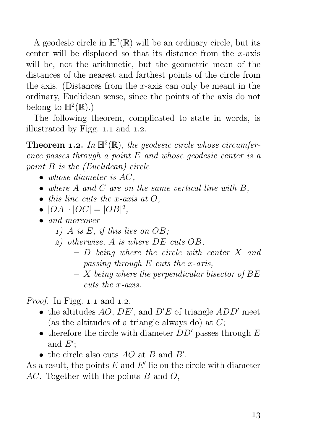A geodesic circle in  $\mathbb{H}^2(\mathbb{R})$  will be an ordinary circle, but its center will be displaced so that its distance from the  $x$ -axis will be, not the arithmetic, but the geometric mean of the distances of the nearest and farthest points of the circle from the axis. (Distances from the x-axis can only be meant in the ordinary, Euclidean sense, since the points of the axis do not belong to  $\mathbb{H}^2(\mathbb{R})$ .)

The following theorem, complicated to state in words, is illustrated by Figg.  $1.1$  and  $1.2$ .

**Theorem 1.2.** In  $\mathbb{H}^2(\mathbb{R})$ , the geodesic circle whose circumference passes through a point  $E$  and whose geodesic center is a point B is the (Euclidean) circle

- $\bullet$  whose diameter is  $AC$ ,
- where  $A$  and  $C$  are on the same vertical line with  $B$ ,
- $\bullet$  this line cuts the x-axis at  $O$ .
- $|OA| \cdot |OC| = |OB|^2$ ,
- and moreover
	- $1)$  A is E, if this lies on OB;
	- ) otherwise, A is where DE cuts OB,
		- $-$  D being where the circle with center X and passing through  $E$  cuts the x-axis,
		- $X$  being where the perpendicular bisector of BE cuts the x-axis.

*Proof.* In Figg. 1.1 and 1.2,

- the altitudes  $AO, DE'$ , and  $D'E$  of triangle  $ADD'$  meet (as the altitudes of a triangle always do) at  $C$ ;
- therefore the circle with diameter  $DD'$  passes through  $E$ and  $E'$ ;
- the circle also cuts  $AO$  at  $B$  and  $B'$ .

As a result, the points  $E$  and  $E'$  lie on the circle with diameter AC. Together with the points B and O,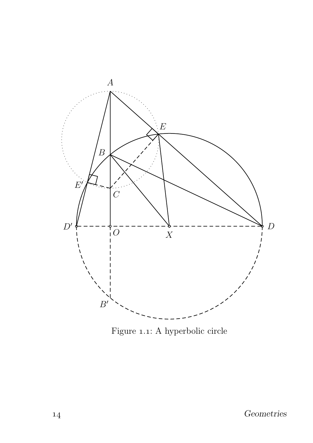

Figure 1.1: A hyperbolic circle  $\,$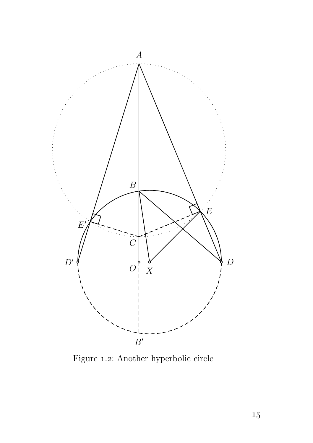

 ${\rm Figure}$  1.2: Another hyperbolic circle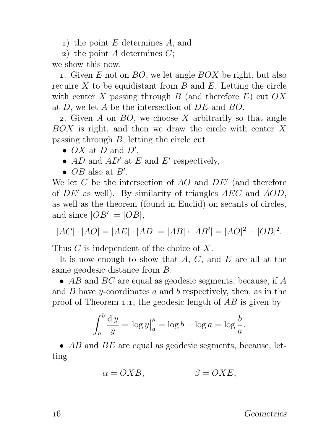) the point E determines A, and

2) the point A determines  $C$ ;

we show this now.

1. Given  $E$  not on  $BO$ , we let angle  $BOX$  be right, but also require  $X$  to be equidistant from  $B$  and  $E$ . Letting the circle with center X passing through B (and therefore  $E$ ) cut  $OX$ at D, we let A be the intersection of DE and BO.

2. Given A on  $BO$ , we choose X arbitrarily so that angle  $BOX$  is right, and then we draw the circle with center X passing through  $B$ , letting the circle cut

- $OX$  at  $D$  and  $D'$ ,
- $AD$  and  $AD'$  at E and E' respectively,
- $OB$  also at  $B'$ .

We let  $C$  be the intersection of  $AO$  and  $DE'$  (and therefore of  $DE'$  as well). By similarity of triangles  $AEC$  and  $AOD$ , as well as the theorem (found in Euclid) on secants of circles, and since  $|OB'| = |OB|$ ,

$$
|AC| \cdot |AO| = |AE| \cdot |AD| = |AB| \cdot |AB'| = |AO|^2 - |OB|^2.
$$

Thus C is independent of the choice of X.

It is now enough to show that  $A, C$ , and  $E$  are all at the same geodesic distance from B.

•  $AB$  and  $BC$  are equal as geodesic segments, because, if  $A$ and  $B$  have *y*-coordinates  $a$  and  $b$  respectively, then, as in the proof of Theorem 1.1, the geodesic length of  $AB$  is given by

$$
\int_a^b \frac{dy}{y} = \log y \Big|_a^b = \log b - \log a = \log \frac{b}{a}.
$$

•  $AB$  and  $BE$  are equal as geodesic segments, because, letting

$$
\alpha = OXB, \qquad \beta = OXE,
$$

Geometries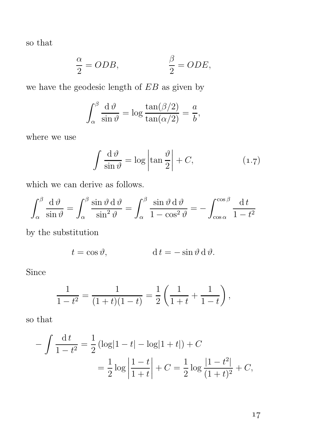so that

$$
\frac{\alpha}{2} = ODB, \qquad \qquad \frac{\beta}{2} = ODE,
$$

we have the geodesic length of EB as given by

$$
\int_{\alpha}^{\beta} \frac{\mathrm{d}\,\vartheta}{\sin\vartheta} = \log \frac{\tan(\beta/2)}{\tan(\alpha/2)} = \frac{a}{b},
$$

where we use

$$
\int \frac{\mathrm{d}\,\vartheta}{\sin\vartheta} = \log \left| \tan \frac{\vartheta}{2} \right| + C,\tag{1.7}
$$

which we can derive as follows.

$$
\int_{\alpha}^{\beta} \frac{\mathrm{d}\,\vartheta}{\sin\vartheta} = \int_{\alpha}^{\beta} \frac{\sin\vartheta \,\mathrm{d}\,\vartheta}{\sin^2\vartheta} = \int_{\alpha}^{\beta} \frac{\sin\vartheta \,\mathrm{d}\,\vartheta}{1 - \cos^2\vartheta} = -\int_{\cos\alpha}^{\cos\beta} \frac{\mathrm{d}\,t}{1 - t^2}
$$

by the substitution

$$
t = \cos \vartheta, \qquad \qquad d \, t = -\sin \vartheta \, d \, \vartheta.
$$

Since

$$
\frac{1}{1-t^2} = \frac{1}{(1+t)(1-t)} = \frac{1}{2} \left( \frac{1}{1+t} + \frac{1}{1-t} \right),
$$

so that

$$
-\int \frac{\mathrm{d}t}{1-t^2} = \frac{1}{2} \left( \log|1-t| - \log|1+t| \right) + C
$$

$$
= \frac{1}{2} \log \left| \frac{1-t}{1+t} \right| + C = \frac{1}{2} \log \frac{|1-t^2|}{(1+t)^2} + C,
$$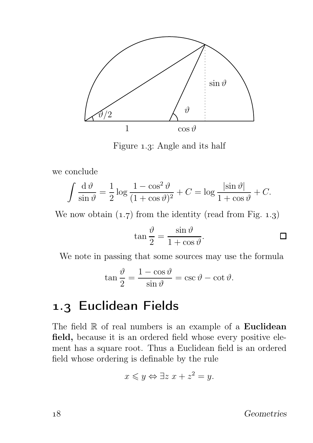

Figure 1.3: Angle and its half

we conclude

$$
\int \frac{\mathrm{d}\,\vartheta}{\sin\vartheta} = \frac{1}{2}\log\frac{1-\cos^2\vartheta}{(1+\cos\vartheta)^2} + C = \log\frac{|\sin\vartheta|}{1+\cos\vartheta} + C.
$$

We now obtain  $(1.7)$  from the identity (read from Fig. 1.3)

$$
\tan\frac{\vartheta}{2} = \frac{\sin\vartheta}{1 + \cos\vartheta}.
$$

We note in passing that some sources may use the formula

$$
\tan\frac{\vartheta}{2} = \frac{1-\cos\vartheta}{\sin\vartheta} = \csc\vartheta - \cot\vartheta.
$$

## 1.3 Euclidean Fields

The field  $\mathbb R$  of real numbers is an example of a Euclidean field, because it is an ordered field whose every positive element has a square root. Thus a Euclidean field is an ordered field whose ordering is definable by the rule

$$
x \leqslant y \Leftrightarrow \exists z \ x + z^2 = y.
$$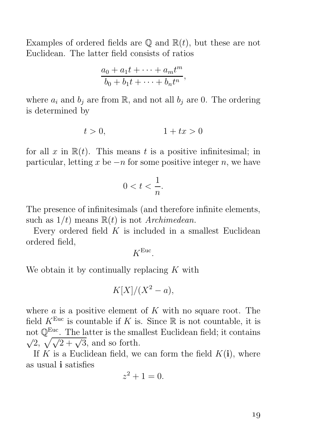Examples of ordered fields are  $\mathbb{Q}$  and  $\mathbb{R}(t)$ , but these are not Euclidean. The latter field consists of ratios

$$
\frac{a_0 + a_1t + \dots + a_mt^m}{b_0 + b_1t + \dots + b_nt^n},
$$

where  $a_i$  and  $b_j$  are from R, and not all  $b_j$  are 0. The ordering is determined by

$$
t > 0, \qquad \qquad 1 + tx > 0
$$

for all x in  $\mathbb{R}(t)$ . This means t is a positive infinitesimal; in particular, letting x be  $-n$  for some positive integer n, we have

$$
0 < t < \frac{1}{n}.
$$

The presence of infinitesimals (and therefore infinite elements, such as  $1/t$ ) means  $\mathbb{R}(t)$  is not *Archimedean*.

Every ordered field  $K$  is included in a smallest Euclidean ordered field,

 $K^{\text{Euc}}$ .

We obtain it by continually replacing  $K$  with

$$
K[X]/(X^2-a),
$$

where  $\alpha$  is a positive element of  $K$  with no square root. The field  $K^{\text{Euc}}$  is countable if K is. Since  $\mathbb R$  is not countable, it is not  $\mathbb{Q}^{\text{Euc}}$ . The latter is the smallest Euclidean field; it contains  $\sqrt{2}, \sqrt{\sqrt{2 + \sqrt{3}}},$  and so forth.

If K is a Euclidean field, we can form the field  $K(i)$ , where as usual i satisfies

$$
z^2 + 1 = 0.
$$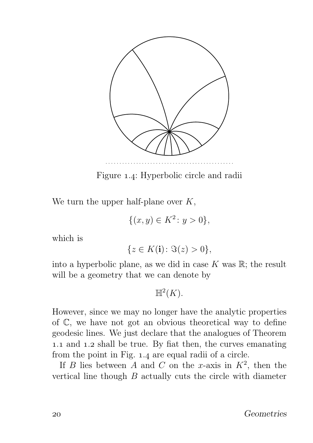

Figure 1.4: Hyperbolic circle and radii

We turn the upper half-plane over  $K$ ,

 $\{(x, y) \in K^2 \colon y > 0\},\$ 

which is

$$
\{z\in K(\mathbf{i})\colon \Im(z)>0\},
$$

into a hyperbolic plane, as we did in case  $K$  was  $\mathbb{R}$ ; the result will be a geometry that we can denote by

 $\mathbb{H}^2(K).$ 

However, since we may no longer have the analytic properties of C, we have not got an obvious theoretical way to define geodesic lines. We just declare that the analogues of Theorem 1.1 and 1.2 shall be true. By fiat then, the curves emanating from the point in Fig. 1.4 are equal radii of a circle.

If B lies between A and C on the x-axis in  $K^2$ , then the vertical line though B actually cuts the circle with diameter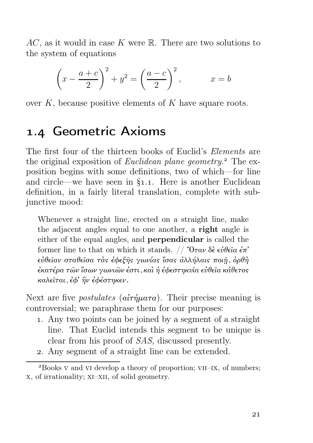$AC$ , as it would in case K were R. There are two solutions to the system of equations

$$
\left(x - \frac{a+c}{2}\right)^2 + y^2 = \left(\frac{a-c}{2}\right)^2, \qquad x = b
$$

over  $K$ , because positive elements of  $K$  have square roots.

### 1.4 Geometric Axioms

The first four of the thirteen books of Euclid's Elements are the original exposition of Euclidean plane geometry.<sup>2</sup> The exposition begins with some definitions, two of which—for line and circle—we have seen in  $\S$ 1.1. Here is another Euclidean definition, in a fairly literal translation, complete with subjunctive mood:

Whenever a straight line, erected on a straight line, make the adjacent angles equal to one another, a right angle is either of the equal angles, and perpendicular is called the former line to that on which it stands.  $// \n\degree O \tau \alpha \nu \delta \epsilon \epsilon \nu \theta \epsilon \alpha \epsilon \pi'$ εὐθεῖαν σταθεῖσα τὰς ἐφεξῆς γωνίας ἴσας ἀλλήλαις ποιῇ, ὀρθὴ ἐκατέρα τῶν ἴσων γωνιῶν ἐστι, καὶ ἡ ἐφεστηκυῖα εὐθεῖα κάθετος καλεῖται, ἐφ' ἣν ἐφέστηκεν.

Next are five *postulates* ( $a\tilde{i}\tau \eta \mu a\tau a$ ). Their precise meaning is controversial; we paraphrase them for our purposes:

- . Any two points can be joined by a segment of a straight line. That Euclid intends this segment to be unique is clear from his proof of SAS, discussed presently.
- . Any segment of a straight line can be extended.

<sup>&</sup>lt;sup>2</sup>Books V and VI develop a theory of proportion; VII–IX, of numbers; x, of irrationality; xi–xii, of solid geometry.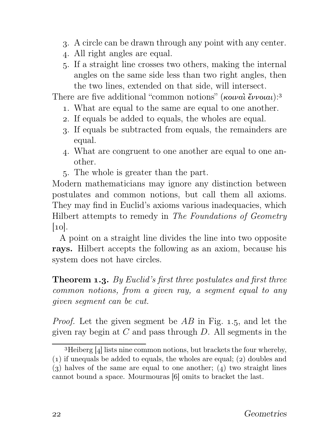- . A circle can be drawn through any point with any center.
- . All right angles are equal.
- . If a straight line crosses two others, making the internal angles on the same side less than two right angles, then the two lines, extended on that side, will intersect.

There are five additional "common notions" (κοιναὶ ἔννοιαι):<sup>3</sup>

- . What are equal to the same are equal to one another.
- . If equals be added to equals, the wholes are equal.
- . If equals be subtracted from equals, the remainders are equal.
- . What are congruent to one another are equal to one another.
- . The whole is greater than the part.

Modern mathematicians may ignore any distinction between postulates and common notions, but call them all axioms. They may find in Euclid's axioms various inadequacies, which Hilbert attempts to remedy in The Foundations of Geometry  $|10|$ .

A point on a straight line divides the line into two opposite rays. Hilbert accepts the following as an axiom, because his system does not have circles.

**Theorem 1.3.** By Euclid's first three postulates and first three common notions, from a given ray, a segment equal to any given segment can be cut.

*Proof.* Let the given segment be  $AB$  in Fig. 1.5, and let the given ray begin at  $C$  and pass through  $D$ . All segments in the

 ${}^{3}$ Heiberg [4] lists nine common notions, but brackets the four whereby,

 $(1)$  if unequals be added to equals, the wholes are equal;  $(2)$  doubles and (3) halves of the same are equal to one another; (4) two straight lines

cannot bound a space. Mourmouras [6] omits to bracket the last.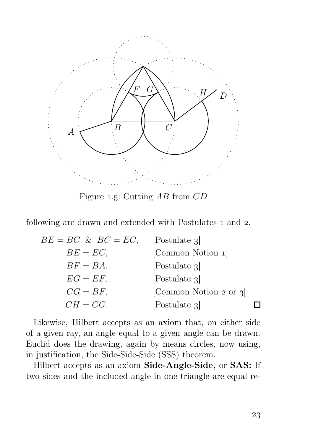

Figure 1.5: Cutting  $AB$  from  $CD$ 

following are drawn and extended with Postulates 1 and 2.

| $BE = BC \& BC = EC$ , | [Postulate 3]          |  |
|------------------------|------------------------|--|
| $BE = EC$ ,            | [Common Notion 1]      |  |
| $BF = BA$ ,            | Postulate 3            |  |
| $EG = EF$ ,            | [Postulate 3]          |  |
| $CG = BF$ ,            | [Common Notion 2 or 3] |  |
| $CH = CG.$             | [Postulate 3]          |  |

Likewise, Hilbert accepts as an axiom that, on either side of a given ray, an angle equal to a given angle can be drawn. Euclid does the drawing, again by means circles, now using, in justification, the Side-Side-Side (SSS) theorem.

Hilbert accepts as an axiom Side-Angle-Side, or SAS: If two sides and the included angle in one triangle are equal re-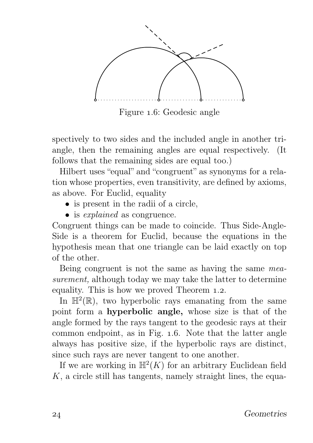

Figure 1.6: Geodesic angle

spectively to two sides and the included angle in another triangle, then the remaining angles are equal respectively. (It follows that the remaining sides are equal too.)

Hilbert uses "equal" and "congruent" as synonyms for a relation whose properties, even transitivity, are defined by axioms, as above. For Euclid, equality

- is present in the radii of a circle,
- is *explained* as congruence.

Congruent things can be made to coincide. Thus Side-Angle-Side is a theorem for Euclid, because the equations in the hypothesis mean that one triangle can be laid exactly on top of the other.

Being congruent is not the same as having the same measurement, although today we may take the latter to determine equality. This is how we proved Theorem 1.2.

In  $\mathbb{H}^2(\mathbb{R})$ , two hyperbolic rays emanating from the same point form a hyperbolic angle, whose size is that of the angle formed by the rays tangent to the geodesic rays at their common endpoint, as in Fig. 1.6. Note that the latter angle always has positive size, if the hyperbolic rays are distinct, since such rays are never tangent to one another.

If we are working in  $\mathbb{H}^2(K)$  for an arbitrary Euclidean field  $K$ , a circle still has tangents, namely straight lines, the equa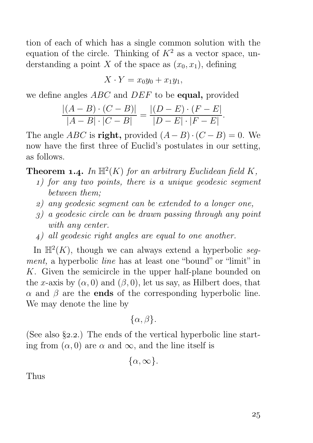tion of each of which has a single common solution with the equation of the circle. Thinking of  $K^2$  as a vector space, understanding a point X of the space as  $(x_0, x_1)$ , defining

$$
X \cdot Y = x_0 y_0 + x_1 y_1,
$$

we define angles ABC and DEF to be **equal**, provided

$$
\frac{|(A-B)\cdot(C-B)|}{|A-B|\cdot|C-B|} = \frac{|(D-E)\cdot(F-E|)}{|D-E|\cdot|F-E|}.
$$

The angle ABC is right, provided  $(A - B) \cdot (C - B) = 0$ . We now have the first three of Euclid's postulates in our setting, as follows.

**Theorem 1.4.** In  $\mathbb{H}^2(K)$  for an arbitrary Euclidean field K,

- ) for any two points, there is a unique geodesic segment between them;
- ) any geodesic segment can be extended to a longer one,
- ) a geodesic circle can be drawn passing through any point with any center.
- ) all geodesic right angles are equal to one another.

In  $\mathbb{H}^2(K)$ , though we can always extend a hyperbolic segment, a hyperbolic line has at least one "bound" or "limit" in K. Given the semicircle in the upper half-plane bounded on the x-axis by  $(\alpha, 0)$  and  $(\beta, 0)$ , let us say, as Hilbert does, that  $\alpha$  and  $\beta$  are the **ends** of the corresponding hyperbolic line. We may denote the line by

 $\{\alpha, \beta\}.$ 

(See also  $\S$ 2.2.) The ends of the vertical hyperbolic line starting from  $(\alpha, 0)$  are  $\alpha$  and  $\infty$ , and the line itself is

 $\{\alpha,\infty\}.$ 

Thus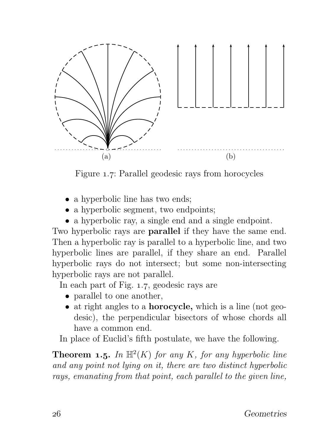

Figure 1.7: Parallel geodesic rays from horocycles

- a hyperbolic line has two ends;
- a hyperbolic segment, two endpoints;
- a hyperbolic ray, a single end and a single endpoint.

Two hyperbolic rays are parallel if they have the same end. Then a hyperbolic ray is parallel to a hyperbolic line, and two hyperbolic lines are parallel, if they share an end. Parallel hyperbolic rays do not intersect; but some non-intersecting hyperbolic rays are not parallel.

In each part of Fig. 1.7, geodesic rays are

- parallel to one another,
- at right angles to a **horocycle**, which is a line (not geodesic), the perpendicular bisectors of whose chords all have a common end.

In place of Euclid's fifth postulate, we have the following.

**Theorem 1.5.** In  $\mathbb{H}^2(K)$  for any K, for any hyperbolic line and any point not lying on it, there are two distinct hyperbolic rays, emanating from that point, each parallel to the given line,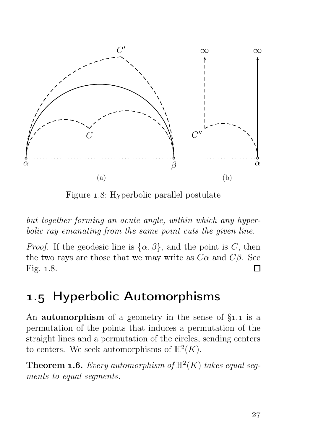

Figure 1.8: Hyperbolic parallel postulate

but together forming an acute angle, within which any hyperbolic ray emanating from the same point cuts the given line.

*Proof.* If the geodesic line is  $\{\alpha, \beta\}$ , and the point is C, then the two rays are those that we may write as  $C\alpha$  and  $C\beta$ . See Fig.  $1.8$ .  $\Box$ 

## . Hyperbolic Automorphisms

An **automorphism** of a geometry in the sense of  $\S_{1,1}$  is a permutation of the points that induces a permutation of the straight lines and a permutation of the circles, sending centers to centers. We seek automorphisms of  $\mathbb{H}^2(K)$ .

**Theorem 1.6.** Every automorphism of  $\mathbb{H}^2(K)$  takes equal segments to equal segments.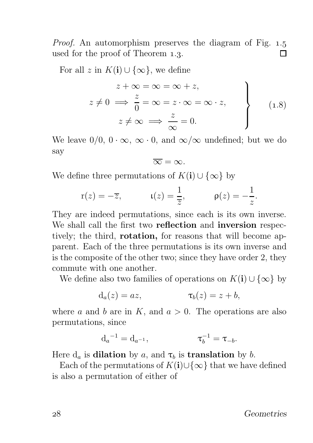*Proof.* An automorphism preserves the diagram of Fig.  $1.5$ used for the proof of Theorem 1.3. П

For all z in  $K(i) \cup \{\infty\}$ , we define

$$
z + \infty = \infty = \infty + z,
$$
  
\n
$$
z \neq 0 \implies \frac{z}{0} = \infty = z \cdot \infty = \infty \cdot z,
$$
  
\n
$$
z \neq \infty \implies \frac{z}{\infty} = 0.
$$
\n(1.8)

We leave  $0/0$ ,  $0 \cdot \infty$ ,  $\infty \cdot 0$ , and  $\infty/\infty$  undefined; but we do say

 $\overline{\infty} = \infty$ 

We define three permutations of  $K(i) \cup \{\infty\}$  by

$$
r(z) = -\overline{z}, \qquad \qquad \iota(z) = \frac{1}{\overline{z}}, \qquad \qquad \rho(z) = -\frac{1}{z}.
$$

They are indeed permutations, since each is its own inverse. We shall call the first two reflection and inversion respectively; the third, rotation, for reasons that will become apparent. Each of the three permutations is its own inverse and is the composite of the other two; since they have order 2, they commute with one another.

We define also two families of operations on  $K(i) \cup \{\infty\}$  by

$$
d_a(z) = az, \qquad \qquad \tau_b(z) = z + b,
$$

where a and b are in K, and  $a > 0$ . The operations are also permutations, since

$$
d_a{}^{-1}=d_{a{}^{-1}}, \qquad \qquad \tau_b{}^{-1}=\tau_{-b}.
$$

Here  $d_a$  is **dilation** by a, and  $\tau_b$  is **translation** by b.

Each of the permutations of  $K(i) \cup \{\infty\}$  that we have defined is also a permutation of either of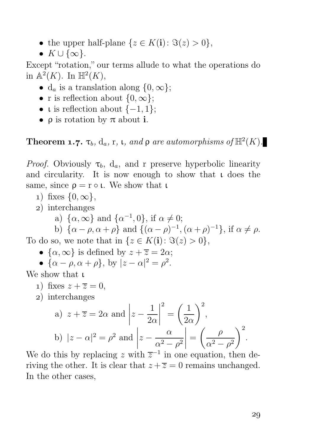- the upper half-plane  $\{z \in K(i): \Im(z) > 0\},\$
- $K \cup \{\infty\}.$

Except "rotation," our terms allude to what the operations do in  $\mathbb{A}^2(K)$ . In  $\mathbb{H}^2(K)$ ,

- d<sub>a</sub> is a translation along  $\{0, \infty\};$
- r is reflection about  $\{0, \infty\}$ ;
- **i** is reflection about  $\{-1, 1\}$ ;
- $\bullet$  **p** is rotation by  $\pi$  about **i**.

**Theorem 1.7.**  $\tau_b$ ,  $d_a$ , r,  $\iota$ , and  $\rho$  are automorphisms of  $\mathbb{H}^2(K)$ .

*Proof.* Obviously  $\tau_b$ ,  $d_a$ , and r preserve hyperbolic linearity and circularity. It is now enough to show that ι does the same, since  $\rho = r \circ \iota$ . We show that  $\iota$ 

- 1) fixes  $\{0, \infty\},\$
- ) interchanges
	- a)  $\{\alpha, \infty\}$  and  $\{\alpha^{-1}, 0\}$ , if  $\alpha \neq 0$ ;

b)  $\{\alpha - \rho, \alpha + \rho\}$  and  $\{(\alpha - \rho)^{-1}, (\alpha + \rho)^{-1}\},$  if  $\alpha \neq \rho$ . To do so, we note that in  $\{z \in K(i): \Im(z) > 0\},\$ 

- $\{\alpha, \infty\}$  is defined by  $z + \overline{z} = 2\alpha$ ;
- $\{\alpha \rho, \alpha + \rho\}$ , by  $|z \alpha|^2 = \rho^2$ .

We show that ι

- 1) fixes  $z + \overline{z} = 0$ ,
- ) interchanges

a) 
$$
z + \overline{z} = 2\alpha
$$
 and  $|z - \frac{1}{2\alpha}|^2 = \left(\frac{1}{2\alpha}\right)^2$ ,  
b)  $|z - \alpha|^2 = \rho^2$  and  $|z - \frac{\alpha}{\alpha^2 - \rho^2}| = \left(\frac{\rho}{\alpha^2 - \rho^2}\right)^2$ .

We do this by replacing z with  $\overline{z}^{-1}$  in one equation, then deriving the other. It is clear that  $z + \overline{z} = 0$  remains unchanged. In the other cases,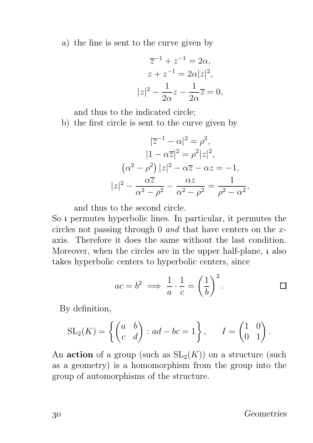a) the line is sent to the curve given by

$$
\overline{z}^{-1} + z^{-1} = 2\alpha,
$$
  
\n
$$
z + z^{-1} = 2\alpha |z|^2,
$$
  
\n
$$
|z|^2 - \frac{1}{2\alpha}z - \frac{1}{2\alpha}\overline{z} = 0,
$$

and thus to the indicated circle;

b) the first circle is sent to the curve given by

$$
|\overline{z}^{-1} - \alpha|^2 = \rho^2,
$$
  
\n
$$
|1 - \alpha \overline{z}|^2 = \rho^2 |z|^2,
$$
  
\n
$$
(\alpha^2 - \rho^2) |z|^2 - \alpha \overline{z} - \alpha z = -1,
$$
  
\n
$$
|z|^2 - \frac{\alpha \overline{z}}{\alpha^2 - \rho^2} - \frac{\alpha z}{\alpha^2 - \rho^2} = \frac{1}{\rho^2 - \alpha^2},
$$

and thus to the second circle.

So ι permutes hyperbolic lines. In particular, it permutes the circles not passing through 0 and that have centers on the  $x$ axis. Therefore it does the same without the last condition. Moreover, when the circles are in the upper half-plane, ι also takes hyperbolic centers to hyperbolic centers, since

$$
ac = b^2 \implies \frac{1}{a} \cdot \frac{1}{c} = \left(\frac{1}{b}\right)^2.
$$

By definition,

$$
SL_2(K) = \left\{ \begin{pmatrix} a & b \\ c & d \end{pmatrix} : ad - bc = 1 \right\}, \qquad I = \begin{pmatrix} 1 & 0 \\ 0 & 1 \end{pmatrix}.
$$

An **action** of a group (such as  $SL_2(K)$ ) on a structure (such as a geometry) is a homomorphism from the group into the group of automorphisms of the structure.

Geometries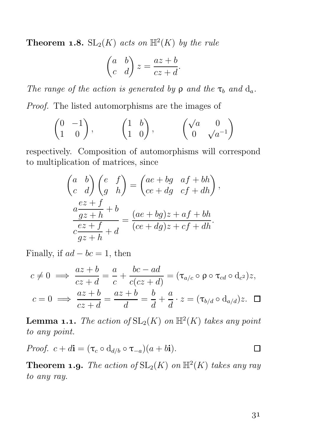**Theorem 1.8.**  $SL_2(K)$  acts on  $\mathbb{H}^2(K)$  by the rule

$$
\begin{pmatrix} a & b \\ c & d \end{pmatrix} z = \frac{az+b}{cz+d}.
$$

The range of the action is generated by  $\rho$  and the  $\tau_b$  and  $d_a$ . Proof. The listed automorphisms are the images of

$$
\begin{pmatrix} 0 & -1 \\ 1 & 0 \end{pmatrix}, \qquad \begin{pmatrix} 1 & b \\ 1 & 0 \end{pmatrix}, \qquad \begin{pmatrix} \sqrt{a} & 0 \\ 0 & \sqrt{a^{-1}} \end{pmatrix}
$$

respectively. Composition of automorphisms will correspond to multiplication of matrices, since

$$
\begin{pmatrix} a & b \\ c & d \end{pmatrix} \begin{pmatrix} e & f \\ g & h \end{pmatrix} = \begin{pmatrix} ae + bg & af + bh \\ ce + dg & cf + dh \end{pmatrix},
$$

$$
\frac{az + f}{gz + h} = \frac{(ae + bg)z + af + bh}{(ce + dg)z + cf + dh}.
$$

Finally, if  $ad - bc = 1$ , then

$$
c \neq 0 \implies \frac{az+b}{cz+d} = \frac{a}{c} + \frac{bc-ad}{c(cz+d)} = (\tau_{a/c} \circ \rho \circ \tau_{cd} \circ d_{c^2})z,
$$
  

$$
c = 0 \implies \frac{az+b}{cz+d} = \frac{az+b}{d} = \frac{b}{d} + \frac{a}{d} \cdot z = (\tau_{b/d} \circ d_{a/d})z. \quad \Box
$$

**Lemma 1.1.** The action of  $\text{SL}_2(K)$  on  $\mathbb{H}^2(K)$  takes any point to any point.

*Proof.* 
$$
c + d\mathbf{i} = (\tau_c \circ d_{d/b} \circ \tau_{-a})(a + b\mathbf{i}).
$$

**Theorem 1.9.** The action of  $SL_2(K)$  on  $\mathbb{H}^2(K)$  takes any ray to any ray.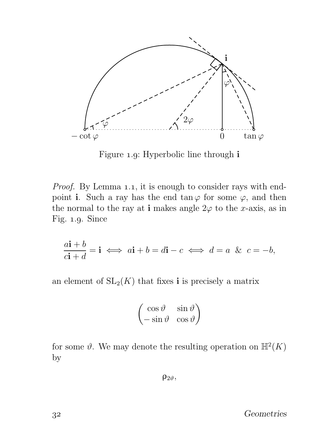

Figure 1.9: Hyperbolic line through i

*Proof.* By Lemma 1.1, it is enough to consider rays with endpoint i. Such a ray has the end tan  $\varphi$  for some  $\varphi$ , and then the normal to the ray at i makes angle  $2\varphi$  to the x-axis, as in Fig.  $1.9$ . Since

$$
\frac{a\mathbf{i} + b}{c\mathbf{i} + d} = \mathbf{i} \iff a\mathbf{i} + b = d\mathbf{i} - c \iff d = a \& c = -b,
$$

an element of  $SL_2(K)$  that fixes **i** is precisely a matrix

$$
\begin{pmatrix}\n\cos\vartheta & \sin\vartheta \\
-\sin\vartheta & \cos\vartheta\n\end{pmatrix}
$$

for some  $\vartheta$ . We may denote the resulting operation on  $\mathbb{H}^2(K)$ by

 $\rho_{2\vartheta}$ ,

Geometries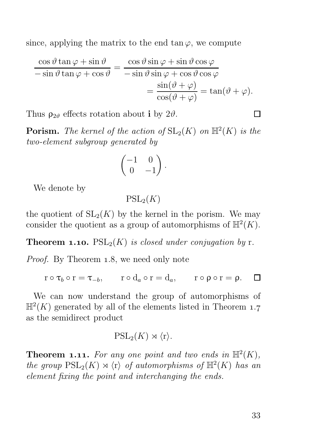since, applying the matrix to the end tan $\varphi$ , we compute

$$
\frac{\cos\vartheta\tan\varphi + \sin\vartheta}{-\sin\vartheta\tan\varphi + \cos\vartheta} = \frac{\cos\vartheta\sin\varphi + \sin\vartheta\cos\varphi}{-\sin\vartheta\sin\varphi + \cos\vartheta\cos\varphi}
$$

$$
= \frac{\sin(\vartheta + \varphi)}{\cos(\vartheta + \varphi)} = \tan(\vartheta + \varphi).
$$

Thus  $\rho_{2\vartheta}$  effects rotation about i by  $2\vartheta$ .

**Porism.** The kernel of the action of  $SL_2(K)$  on  $\mathbb{H}^2(K)$  is the two-element subgroup generated by

$$
\begin{pmatrix} -1 & 0 \ 0 & -1 \end{pmatrix}.
$$

We denote by

 $PSL_2(K)$ 

the quotient of  $SL_2(K)$  by the kernel in the porism. We may consider the quotient as a group of automorphisms of  $\mathbb{H}^2(K)$ .

**Theorem 1.10.**  $PSL_2(K)$  is closed under conjugation by r.

*Proof.* By Theorem 1.8, we need only note

 $r \circ \tau_b \circ r = \tau_{-b}$ ,  $r \circ d_a \circ r = d_a$ ,  $r \circ \rho \circ r = \rho$ .  $\Box$ 

We can now understand the group of automorphisms of  $\mathbb{H}^2(K)$  generated by all of the elements listed in Theorem 1.7 as the semidirect product

$$
\mathrm{PSL}_2(K)\rtimes\langle\mathbf{r}\rangle.
$$

**Theorem 1.11.** For any one point and two ends in  $\mathbb{H}^2(K)$ , the group  $PSL_2(K) \rtimes \langle r \rangle$  of automorphisms of  $\mathbb{H}^2(K)$  has an element fixing the point and interchanging the ends.

П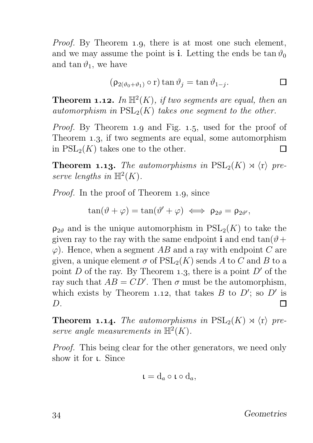Proof. By Theorem 1.9, there is at most one such element, and we may assume the point is **i**. Letting the ends be  $\tan \theta_0$ and tan  $\vartheta_1$ , we have

$$
(\rho_{2(\vartheta_0+\vartheta_1)}\circ r)\tan\vartheta_j=\tan\vartheta_{1-j}.
$$

**Theorem 1.12.** In  $\mathbb{H}^2(K)$ , if two segments are equal, then an automorphism in  $PSL_2(K)$  takes one segment to the other.

*Proof.* By Theorem 1.9 and Fig. 1.5, used for the proof of Theorem 1.3, if two segments are equal, some automorphism in  $PSL_2(K)$  takes one to the other. П

**Theorem 1.13.** The automorphisms in  $PSL_2(K) \rtimes \langle r \rangle$  preserve lengths in  $\mathbb{H}^2(K)$ .

*Proof.* In the proof of Theorem 1.9, since

$$
\tan(\vartheta+\varphi)=\tan(\vartheta'+\varphi)\iff\rho_{2\vartheta}=\rho_{2\vartheta'},
$$

 $\rho_{2\vartheta}$  and is the unique automorphism in  $PSL_2(K)$  to take the given ray to the ray with the same endpoint **i** and end  $\tan(\theta + \theta)$  $\varphi$ ). Hence, when a segment AB and a ray with endpoint C are given, a unique element  $\sigma$  of  $PSL_2(K)$  sends A to C and B to a point D of the ray. By Theorem 1.3, there is a point  $D'$  of the ray such that  $AB = CD'$ . Then  $\sigma$  must be the automorphism, which exists by Theorem 1.12, that takes  $B$  to  $D'$ ; so  $D'$  is D. Π

**Theorem 1.14.** The automorphisms in  $PSL_2(K) \rtimes \langle r \rangle$  preserve angle measurements in  $\mathbb{H}^2(K)$ .

Proof. This being clear for the other generators, we need only show it for ι. Since

$$
\mathfrak{t}=\mathrm{d}_a\circ\mathfrak{t}\circ\mathrm{d}_a,
$$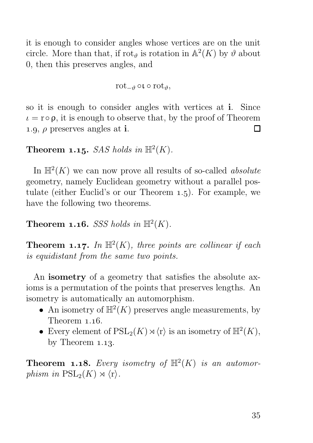it is enough to consider angles whose vertices are on the unit circle. More than that, if  $\text{rot}_{\vartheta}$  is rotation in  $\mathbb{A}^2(K)$  by  $\vartheta$  about 0, then this preserves angles, and

$$
\text{rot}_{-\vartheta} \circ \iota \circ \text{rot}_{\vartheta},
$$

so it is enough to consider angles with vertices at i. Since  $\iota = \r{r} \circ \rho$ , it is enough to observe that, by the proof of Theorem 1.0.  $\rho$  preserves angles at **i**. 1.9,  $\rho$  preserves angles at i.

#### **Theorem 1.15.** SAS holds in  $\mathbb{H}^2(K)$ .

In  $\mathbb{H}^2(K)$  we can now prove all results of so-called *absolute* geometry, namely Euclidean geometry without a parallel postulate (either Euclid's or our Theorem  $1.5$ ). For example, we have the following two theorems.

#### **Theorem 1.16.** SSS holds in  $\mathbb{H}^2(K)$ .

**Theorem 1.17.** In  $\mathbb{H}^2(K)$ , three points are collinear if each is equidistant from the same two points.

An isometry of a geometry that satisfies the absolute axioms is a permutation of the points that preserves lengths. An isometry is automatically an automorphism.

- An isometry of  $\mathbb{H}^2(K)$  preserves angle measurements, by Theorem  $1.16$ .
- Every element of  $\operatorname{PSL}_2(K) \rtimes \langle r \rangle$  is an isometry of  $\mathbb{H}^2(K)$ , by Theorem  $1.13$ .

**Theorem 1.18.** Every isometry of  $\mathbb{H}^2(K)$  is an automorphism in  $PSL_2(K) \rtimes \langle r \rangle$ .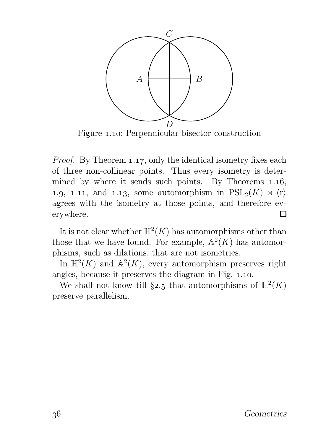

Figure 1.10: Perpendicular bisector construction

*Proof.* By Theorem 1.17, only the identical isometry fixes each of three non-collinear points. Thus every isometry is determined by where it sends such points. By Theorems  $1.16$ , 1.9, 1.11, and 1.13, some automorphism in  $PSL_2(K) \rtimes \langle r \rangle$ agrees with the isometry at those points, and therefore everywhere. П

It is not clear whether  $\mathbb{H}^2(K)$  has automorphisms other than those that we have found. For example,  $\mathbb{A}^2(K)$  has automorphisms, such as dilations, that are not isometries.

In  $\mathbb{H}^2(K)$  and  $\mathbb{A}^2(K)$ , every automorphism preserves right angles, because it preserves the diagram in Fig. 1.10.

We shall not know till §2.5 that automorphisms of  $\mathbb{H}^2(K)$ preserve parallelism.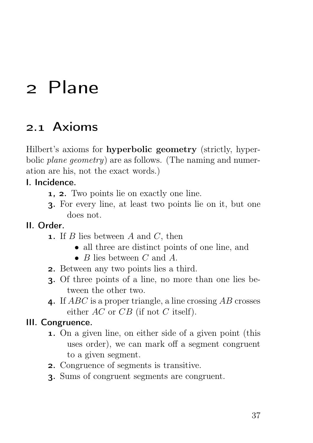## 2 Plane

## 2.1 Axioms

Hilbert's axioms for hyperbolic geometry (strictly, hyperbolic *plane geometry*) are as follows. (The naming and numeration are his, not the exact words.)

#### I. Incidence.

- **1, 2.** Two points lie on exactly one line.
- . For every line, at least two points lie on it, but one does not.

#### II. Order.

- **1.** If B lies between A and C, then
	- all three are distinct points of one line, and
	- $B$  lies between  $C$  and  $A$ .
- . Between any two points lies a third.
- . Of three points of a line, no more than one lies between the other two.
- 4. If  $ABC$  is a proper triangle, a line crossing  $AB$  crosses either  $AC$  or  $CB$  (if not C itself).

#### III. Congruence.

- . On a given line, on either side of a given point (this uses order), we can mark off a segment congruent to a given segment.
- . Congruence of segments is transitive.
- . Sums of congruent segments are congruent.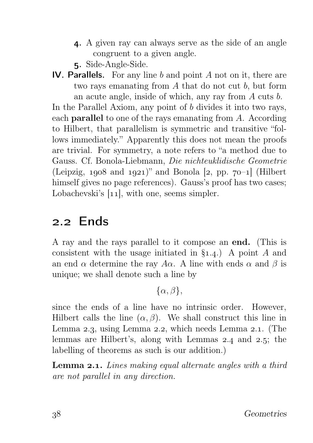- . A given ray can always serve as the side of an angle congruent to a given angle.
- . Side-Angle-Side.
- IV. Parallels. For any line  $b$  and point  $A$  not on it, there are two rays emanating from A that do not cut b, but form an acute angle, inside of which, any ray from A cuts b.

In the Parallel Axiom, any point of b divides it into two rays, each parallel to one of the rays emanating from A. According to Hilbert, that parallelism is symmetric and transitive "follows immediately." Apparently this does not mean the proofs are trivial. For symmetry, a note refers to "a method due to Gauss. Cf. Bonola-Liebmann, Die nichteuklidische Geometrie (Leipzig,  $1908$  and  $1921$ )" and Bonola [2, pp.  $70-1$ ] (Hilbert himself gives no page references). Gauss's proof has two cases; Lobachevski's  $[11]$ , with one, seems simpler.

## 2.2 Ends

A ray and the rays parallel to it compose an end. (This is consistent with the usage initiated in  $\S_{1.4}$ . A point A and an end  $\alpha$  determine the ray A $\alpha$ . A line with ends  $\alpha$  and  $\beta$  is unique; we shall denote such a line by

 $\{\alpha, \beta\},\$ 

since the ends of a line have no intrinsic order. However, Hilbert calls the line  $(\alpha, \beta)$ . We shall construct this line in Lemma  $2.3$ , using Lemma  $2.2$ , which needs Lemma  $2.1$ . (The lemmas are Hilbert's, along with Lemmas  $2.4$  and  $2.5$ ; the labelling of theorems as such is our addition.)

**Lemma 2.1.** Lines making equal alternate angles with a third are not parallel in any direction.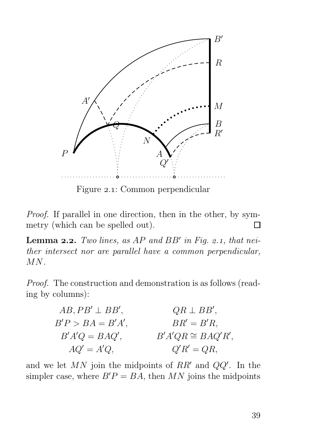

Figure 2.1: Common perpendicular

Proof. If parallel in one direction, then in the other, by symmetry (which can be spelled out). П

**Lemma 2.2.** Two lines, as  $AP$  and  $BB'$  in Fig. 2.1, that neither intersect nor are parallel have a common perpendicular, MN.

Proof. The construction and demonstration is as follows (reading by columns):

| $AB, PB' \perp BB',$ | $QR \perp BB',$        |
|----------------------|------------------------|
| $B'P > BA = B'A',$   | $BR' = B'R$ ,          |
| $B'A'Q = BAQ',$      | $B'A'QR \cong BAQ'R',$ |
| $AQ' = A'Q,$         | $Q'R' = QR,$           |

and we let  $MN$  join the midpoints of  $RR'$  and  $QQ'$ . In the simpler case, where  $B'P = BA$ , then MN joins the midpoints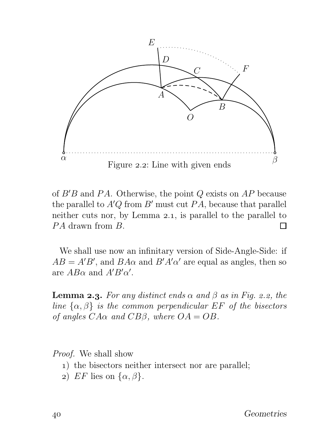

of  $B'B$  and PA. Otherwise, the point Q exists on AP because the parallel to  $A'Q$  from  $B'$  must cut  $PA$ , because that parallel neither cuts nor, by Lemma  $2.1$ , is parallel to the parallel to PA drawn from B. П

We shall use now an infinitary version of Side-Angle-Side: if  $AB = A'B'$ , and  $BA\alpha$  and  $B'A'\alpha'$  are equal as angles, then so are  $AB\alpha$  and  $A'B'\alpha'$ .

**Lemma 2.3.** For any distinct ends  $\alpha$  and  $\beta$  as in Fig. 2.2, the line  $\{\alpha, \beta\}$  is the common perpendicular EF of the bisectors of angles  $C A \alpha$  and  $C B \beta$ , where  $OA = OB$ .

Proof. We shall show

- ) the bisectors neither intersect nor are parallel;
- 2) EF lies on  $\{\alpha, \beta\}.$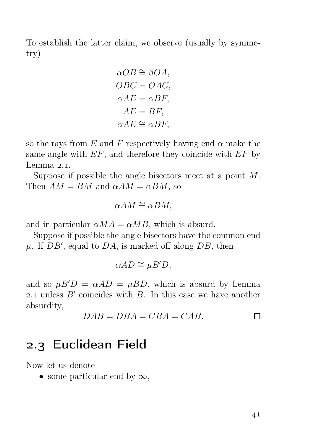To establish the latter claim, we observe (usually by symmetry)

$$
\alpha OB \cong \beta OA,
$$
  

$$
OBC = OAC,
$$
  

$$
\alpha AE = \alpha BF,
$$
  

$$
AE = BF,
$$
  

$$
\alpha AE \cong \alpha BF,
$$

so the rays from E and F respectively having end  $\alpha$  make the same angle with  $EF$ , and therefore they coincide with  $EF$  by Lemma  $2.1$ .

Suppose if possible the angle bisectors meet at a point M. Then  $AM = BM$  and  $\alpha AM = \alpha BM$ , so

$$
\alpha AM \cong \alpha BM,
$$

and in particular  $\alpha MA = \alpha MB$ , which is absurd.

Suppose if possible the angle bisectors have the common end  $\mu$ . If  $DB'$ , equal to  $DA$ , is marked off along  $DB$ , then

$$
\alpha AD \cong \mu B'D,
$$

and so  $\mu B'D = \alpha AD = \mu BD$ , which is absurd by Lemma 2.1 unless  $B'$  coincides with  $B$ . In this case we have another absurdity,

$$
DAB = DBA = CBA = CAB.
$$

### 2.3 Euclidean Field

Now let us denote

• some particular end by  $\infty$ ,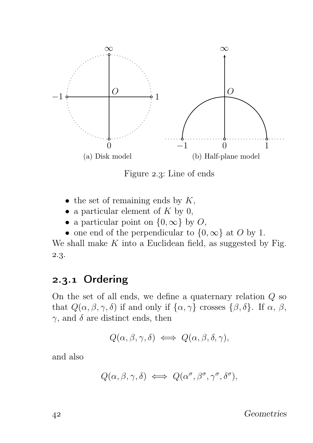

Figure 2.3: Line of ends

- the set of remaining ends by  $K$ ,
- a particular element of  $K$  by 0,
- a particular point on  $\{0, \infty\}$  by O,
- one end of the perpendicular to  $\{0,\infty\}$  at O by 1.

We shall make  $K$  into a Euclidean field, as suggested by Fig. 2.3.

### 2.3.1 Ordering

On the set of all ends, we define a quaternary relation  $Q$  so that  $Q(\alpha, \beta, \gamma, \delta)$  if and only if  $\{\alpha, \gamma\}$  crosses  $\{\beta, \delta\}$ . If  $\alpha, \beta$ ,  $\gamma$ , and  $\delta$  are distinct ends, then

$$
Q(\alpha, \beta, \gamma, \delta) \iff Q(\alpha, \beta, \delta, \gamma),
$$

and also

 $Q(\alpha, \beta, \gamma, \delta) \iff Q(\alpha^{\sigma}, \beta^{\sigma}, \gamma^{\sigma}, \delta^{\sigma}),$ 

Geometries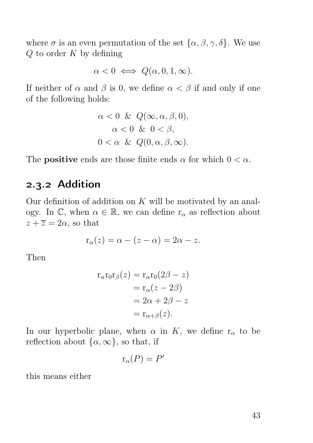where  $\sigma$  is an even permutation of the set  $\{\alpha, \beta, \gamma, \delta\}$ . We use  $Q$  to order  $K$  by defining

$$
\alpha < 0 \iff Q(\alpha, 0, 1, \infty).
$$

If neither of  $\alpha$  and  $\beta$  is 0, we define  $\alpha < \beta$  if and only if one of the following holds:

$$
\alpha < 0 \& Q(\infty, \alpha, \beta, 0),
$$
\n
$$
\alpha < 0 \& 0 < \beta,
$$
\n
$$
0 < \alpha \& Q(0, \alpha, \beta, \infty).
$$

The **positive** ends are those finite ends  $\alpha$  for which  $0 < \alpha$ .

#### 2.3.2 Addition

Our definition of addition on  $K$  will be motivated by an analogy. In  $\mathbb{C}$ , when  $\alpha \in \mathbb{R}$ , we can define  $r_{\alpha}$  as reflection about  $z + \overline{z} = 2\alpha$ , so that

$$
\mathbf{r}_{\alpha}(z) = \alpha - (z - \alpha) = 2\alpha - z.
$$

Then

$$
r_{\alpha}r_0r_{\beta}(z) = r_{\alpha}r_0(2\beta - z)
$$
  
=  $r_{\alpha}(z - 2\beta)$   
=  $2\alpha + 2\beta - z$   
=  $r_{\alpha+\beta}(z)$ .

In our hyperbolic plane, when  $\alpha$  in K, we define  $r_{\alpha}$  to be reflection about  $\{\alpha,\infty\}$ , so that, if

$$
\mathbf{r}_{\alpha}(P) = P'
$$

this means either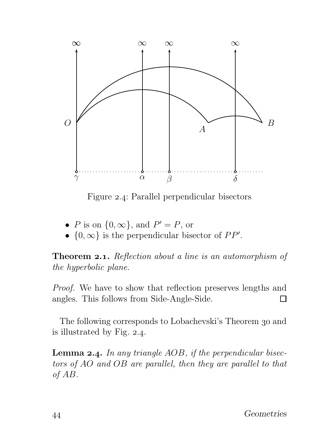

Figure 2.4: Parallel perpendicular bisectors

- P is on  $\{0, \infty\}$ , and  $P' = P$ , or
- $\{0,\infty\}$  is the perpendicular bisector of  $PP'$ .

**Theorem 2.1.** Reflection about a line is an automorphism of the hyperbolic plane.

Proof. We have to show that reflection preserves lengths and angles. This follows from Side-Angle-Side.  $\Box$ 

The following corresponds to Lobachevski's Theorem 30 and is illustrated by Fig.  $2.4$ .

**Lemma 2.4.** In any triangle  $AOB$ , if the perpendicular bisectors of AO and OB are parallel, then they are parallel to that of AB.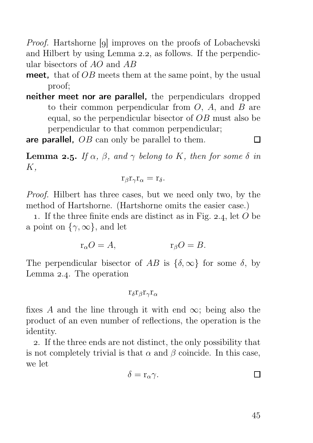*Proof.* Hartshorne [9] improves on the proofs of Lobachevski and Hilbert by using Lemma 2.2, as follows. If the perpendicular bisectors of AO and AB

- meet, that of  $OB$  meets them at the same point, by the usual proof;
- neither meet nor are parallel, the perpendiculars dropped to their common perpendicular from  $O$ ,  $A$ , and  $B$  are equal, so the perpendicular bisector of OB must also be perpendicular to that common perpendicular;

are parallel, *OB* can only be parallel to them.

 $\Box$ 

**Lemma 2.5.** If  $\alpha$ ,  $\beta$ , and  $\gamma$  belong to K, then for some  $\delta$  in K,

$$
r_{\beta}r_{\gamma}r_{\alpha}=r_{\delta}.
$$

Proof. Hilbert has three cases, but we need only two, by the method of Hartshorne. (Hartshorne omits the easier case.)

1. If the three finite ends are distinct as in Fig. 2.4, let  $O$  be a point on  $\{\gamma,\infty\}$ , and let

$$
\mathbf{r}_{\alpha}O=A, \qquad \qquad \mathbf{r}_{\beta}O=B.
$$

The perpendicular bisector of AB is  $\{\delta, \infty\}$  for some  $\delta$ , by Lemma  $2.4$ . The operation

$$
r_\delta r_\beta r_\gamma r_\alpha
$$

fixes A and the line through it with end  $\infty$ ; being also the product of an even number of reflections, the operation is the identity.

. If the three ends are not distinct, the only possibility that is not completely trivial is that  $\alpha$  and  $\beta$  coincide. In this case, we let

$$
\delta = \mathbf{r}_{\alpha} \gamma.
$$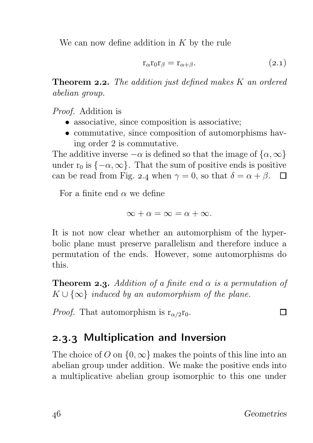We can now define addition in  $K$  by the rule

$$
\mathbf{r}_{\alpha}\mathbf{r}_{0}\mathbf{r}_{\beta} = \mathbf{r}_{\alpha+\beta}.\tag{2.1}
$$

**Theorem 2.2.** The addition just defined makes  $K$  an ordered abelian group.

Proof. Addition is

- associative, since composition is associative;
- commutative, since composition of automorphisms having order 2 is commutative.

The additive inverse  $-\alpha$  is defined so that the image of  $\{\alpha,\infty\}$ under  $r_0$  is  $\{-\alpha, \infty\}$ . That the sum of positive ends is positive can be read from Fig. 2.4 when  $\gamma = 0$ , so that  $\delta = \alpha + \beta$ .  $\Box$ 

For a finite end  $\alpha$  we define

$$
\infty + \alpha = \infty = \alpha + \infty.
$$

It is not now clear whether an automorphism of the hyperbolic plane must preserve parallelism and therefore induce a permutation of the ends. However, some automorphisms do this.

**Theorem 2.3.** Addition of a finite end  $\alpha$  is a permutation of  $K \cup \{\infty\}$  induced by an automorphism of the plane.

*Proof.* That automorphism is  $r_{\alpha/2}r_0$ .

### 2.3.3 Multiplication and Inversion

The choice of O on  $\{0, \infty\}$  makes the points of this line into an abelian group under addition. We make the positive ends into a multiplicative abelian group isomorphic to this one under

П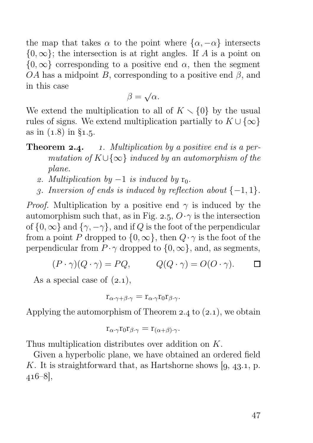the map that takes  $\alpha$  to the point where  $\{\alpha, -\alpha\}$  intersects  $\{0,\infty\}$ ; the intersection is at right angles. If A is a point on  $\{0,\infty\}$  corresponding to a positive end  $\alpha$ , then the segment OA has a midpoint B, corresponding to a positive end  $\beta$ , and in this case

$$
\beta = \sqrt{\alpha}.
$$

We extend the multiplication to all of  $K \setminus \{0\}$  by the usual rules of signs. We extend multiplication partially to  $K \cup \{\infty\}$ as in  $(1.8)$  in §1.5.

#### **Theorem 2.4.** 1. Multiplication by a positive end is a permutation of  $K \cup \{\infty\}$  induced by an automorphism of the plane.

- 2. Multiplication by  $-1$  is induced by  $r_0$ .
- .3. Inversion of ends is induced by reflection about  $\{-1, 1\}$ .

*Proof.* Multiplication by a positive end  $\gamma$  is induced by the automorphism such that, as in Fig. 2.5,  $O \cdot \gamma$  is the intersection of  $\{0,\infty\}$  and  $\{\gamma,-\gamma\}$ , and if Q is the foot of the perpendicular from a point P dropped to  $\{0,\infty\}$ , then  $Q \cdot \gamma$  is the foot of the perpendicular from  $P \cdot \gamma$  dropped to  $\{0, \infty\}$ , and, as segments,

$$
(P \cdot \gamma)(Q \cdot \gamma) = PQ, \qquad Q(Q \cdot \gamma) = O(O \cdot \gamma).
$$

As a special case of  $(2.1)$ ,

$$
r_{\alpha\cdot\gamma+\beta\cdot\gamma} = r_{\alpha\cdot\gamma}r_0r_{\beta\cdot\gamma}.
$$

Applying the automorphism of Theorem 2.4 to  $(2.1)$ , we obtain

$$
r_{\alpha\cdot\gamma}r_0r_{\beta\cdot\gamma}=r_{(\alpha+\beta)\cdot\gamma}.
$$

Thus multiplication distributes over addition on K.

Given a hyperbolic plane, we have obtained an ordered field K. It is straightforward that, as Hartshorne shows  $(9, 43.1, p.$  $416-8$ ,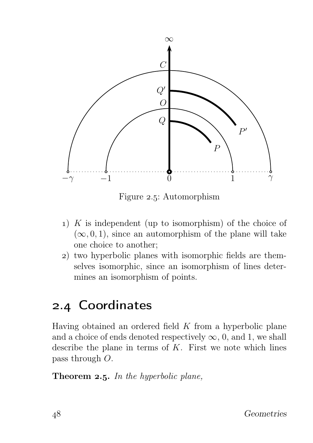

Figure 2.5: Automorphism

- 1) K is independent (up to isomorphism) of the choice of  $(\infty, 0, 1)$ , since an automorphism of the plane will take one choice to another;
- ) two hyperbolic planes with isomorphic fields are themselves isomorphic, since an isomorphism of lines determines an isomorphism of points.

## 2.4 Coordinates

Having obtained an ordered field  $K$  from a hyperbolic plane and a choice of ends denoted respectively  $\infty$ , 0, and 1, we shall describe the plane in terms of  $K$ . First we note which lines pass through O.

Theorem  $2.5$ . In the hyperbolic plane,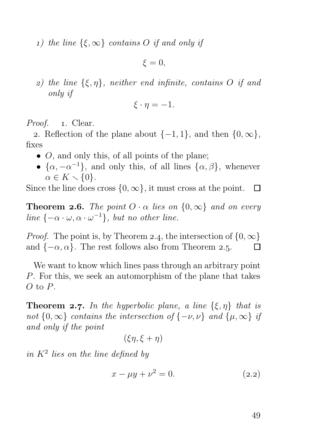1) the line  $\{\xi,\infty\}$  contains O if and only if

 $\xi = 0$ .

z) the line  $\{\xi, \eta\}$ , neither end infinite, contains O if and only if

$$
\xi \cdot \eta = -1.
$$

Proof. 1. Clear.

2. Reflection of the plane about  $\{-1, 1\}$ , and then  $\{0, \infty\}$ , fixes

- $\bullet$  O, and only this, of all points of the plane;
- $\{\alpha, -\alpha^{-1}\},$  and only this, of all lines  $\{\alpha, \beta\},$  whenever  $\alpha \in K \setminus \{0\}.$

Since the line does cross  $\{0, \infty\}$ , it must cross at the point.  $\Box$ 

**Theorem 2.6.** The point  $O \cdot \alpha$  lies on  $\{0,\infty\}$  and on every line  $\{-\alpha \cdot \omega, \alpha \cdot \omega^{-1}\},\,$  but no other line.

*Proof.* The point is, by Theorem 2.4, the intersection of  $\{0, \infty\}$ <br>and  $\{-\alpha, \alpha\}$ . The rest follows also from Theorem 2.5. and  $\{-\alpha, \alpha\}$ . The rest follows also from Theorem 2.5.

We want to know which lines pass through an arbitrary point P. For this, we seek an automorphism of the plane that takes  $O$  to  $P$ .

**Theorem 2.7.** In the hyperbolic plane, a line  $\{\xi, \eta\}$  that is not  $\{0,\infty\}$  contains the intersection of  $\{-\nu,\nu\}$  and  $\{\mu,\infty\}$  if and only if the point

$$
(\xi\eta,\xi+\eta)
$$

in  $K^2$  lies on the line defined by

$$
x - \mu y + \nu^2 = 0. \tag{2.2}
$$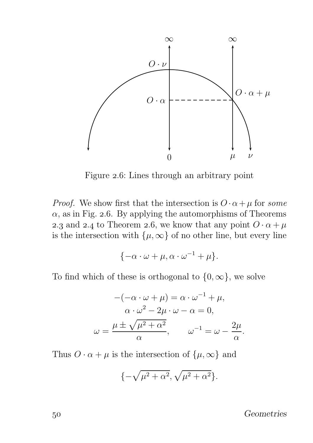

Figure 2.6: Lines through an arbitrary point

*Proof.* We show first that the intersection is  $O \cdot \alpha + \mu$  for some  $\alpha$ , as in Fig. 2.6. By applying the automorphisms of Theorems 2.3 and 2.4 to Theorem 2.6, we know that any point  $O \cdot \alpha + \mu$ is the intersection with  $\{\mu, \infty\}$  of no other line, but every line

$$
\{-\alpha \cdot \omega + \mu, \alpha \cdot \omega^{-1} + \mu\}.
$$

To find which of these is orthogonal to  $\{0, \infty\}$ , we solve

$$
-(-\alpha \cdot \omega + \mu) = \alpha \cdot \omega^{-1} + \mu,
$$
  
\n
$$
\alpha \cdot \omega^2 - 2\mu \cdot \omega - \alpha = 0,
$$
  
\n
$$
\omega = \frac{\mu \pm \sqrt{\mu^2 + \alpha^2}}{\alpha}, \qquad \omega^{-1} = \omega - \frac{2\mu}{\alpha}
$$

Thus  $O \cdot \alpha + \mu$  is the intersection of  $\{\mu, \infty\}$  and

$$
\{-\sqrt{\mu^2 + \alpha^2}, \sqrt{\mu^2 + \alpha^2}\}.
$$

Geometries

.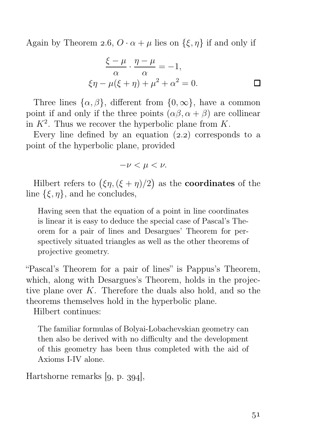Again by Theorem 2.6,  $O \cdot \alpha + \mu$  lies on  $\{\xi, \eta\}$  if and only if

$$
\frac{\xi - \mu}{\alpha} \cdot \frac{\eta - \mu}{\alpha} = -1,
$$
  

$$
\xi \eta - \mu(\xi + \eta) + \mu^2 + \alpha^2 = 0.
$$

Three lines  $\{\alpha, \beta\}$ , different from  $\{0, \infty\}$ , have a common point if and only if the three points  $(\alpha\beta, \alpha + \beta)$  are collinear in  $K^2$ . Thus we recover the hyperbolic plane from K.

Every line defined by an equation  $(2.2)$  corresponds to a point of the hyperbolic plane, provided

$$
-\nu < \mu < \nu.
$$

Hilbert refers to  $(\xi \eta, (\xi + \eta)/2)$  as the **coordinates** of the line  $\{\xi, \eta\}$ , and he concludes,

Having seen that the equation of a point in line coordinates is linear it is easy to deduce the special case of Pascal's Theorem for a pair of lines and Desargues' Theorem for perspectively situated triangles as well as the other theorems of projective geometry.

"Pascal's Theorem for a pair of lines" is Pappus's Theorem, which, along with Desargues's Theorem, holds in the projective plane over K. Therefore the duals also hold, and so the theorems themselves hold in the hyperbolic plane.

Hilbert continues:

The familiar formulas of Bolyai-Lobachevskian geometry can then also be derived with no difficulty and the development of this geometry has been thus completed with the aid of Axioms I-IV alone.

Hartshorne remarks  $[9, p. 394]$ ,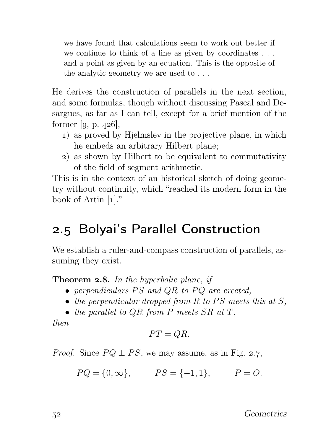we have found that calculations seem to work out better if we continue to think of a line as given by coordinates . . . and a point as given by an equation. This is the opposite of the analytic geometry we are used to . . .

He derives the construction of parallels in the next section, and some formulas, though without discussing Pascal and Desargues, as far as I can tell, except for a brief mention of the former  $[q, p. 426]$ ,

- ) as proved by Hjelmslev in the projective plane, in which he embeds an arbitrary Hilbert plane;
- ) as shown by Hilbert to be equivalent to commutativity of the field of segment arithmetic.

This is in the context of an historical sketch of doing geometry without continuity, which "reached its modern form in the book of Artin  $[1]$ ."

## 2.5 Bolyai's Parallel Construction

We establish a ruler-and-compass construction of parallels, assuming they exist.

**Theorem 2.8.** In the hyperbolic plane, if

- perpendiculars  $PS$  and  $QR$  to  $PQ$  are erected,
- the perpendicular dropped from  $R$  to  $PS$  meets this at  $S$ ,
- the parallel to  $QR$  from P meets  $SR$  at T.

then

$$
PT=QR.
$$

*Proof.* Since  $PQ \perp PS$ , we may assume, as in Fig. 2.7,

$$
PQ = \{0, \infty\},
$$
  $PS = \{-1, 1\},$   $P = O.$ 

52 Geometries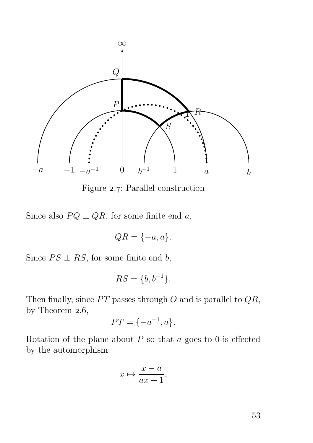

Figure 2.7: Parallel construction

Since also  $PQ \perp QR$ , for some finite end a,

$$
QR = \{-a, a\}.
$$

Since  $PS \perp RS$ , for some finite end b,

$$
RS = \{b, b^{-1}\}.
$$

Then finally, since  $PT$  passes through O and is parallel to  $QR$ , by Theorem  $2.6$ ,

$$
PT = \{-a^{-1}, a\}.
$$

Rotation of the plane about  $P$  so that  $a$  goes to 0 is effected by the automorphism

$$
x \mapsto \frac{x-a}{ax+1},
$$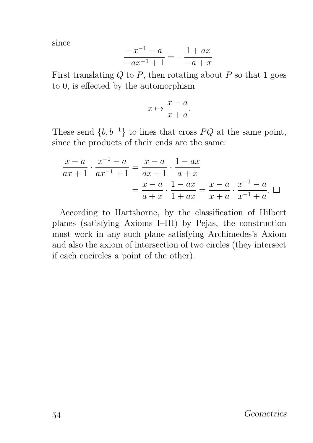since

$$
\frac{-x^{-1} - a}{-ax^{-1} + 1} = -\frac{1 + ax}{-a + x}.
$$

First translating  $Q$  to  $P$ , then rotating about  $P$  so that 1 goes to 0, is effected by the automorphism

$$
x \mapsto \frac{x-a}{x+a}.
$$

These send  $\{b, b^{-1}\}\$ to lines that cross PQ at the same point, since the products of their ends are the same:

$$
\frac{x-a}{ax+1} \cdot \frac{x^{-1}-a}{ax^{-1}+1} = \frac{x-a}{ax+1} \cdot \frac{1-ax}{a+x} = \frac{x-a}{a+x} \cdot \frac{1-ax}{1+ax} = \frac{x-a}{x+a} \cdot \frac{x^{-1}-a}{x^{-1}+a}.
$$

According to Hartshorne, by the classification of Hilbert planes (satisfying Axioms I–III) by Pejas, the construction must work in any such plane satisfying Archimedes's Axiom and also the axiom of intersection of two circles (they intersect if each encircles a point of the other).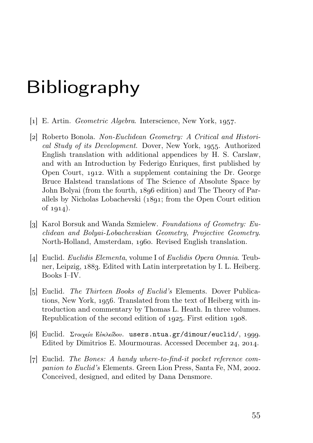## Bibliography

- $\lceil 1 \rceil$  E. Artin. *Geometric Algebra*. Interscience, New York, 1957.
- [2] Roberto Bonola. Non-Euclidean Geometry: A Critical and Historical Study of its Development. Dover, New York, 1955. Authorized English translation with additional appendices by H. S. Carslaw, and with an Introduction by Federigo Enriques, first published by Open Court, 1912. With a supplement containing the Dr. George Bruce Halstead translations of The Science of Absolute Space by John Bolyai (from the fourth, 1896 edition) and The Theory of Parallels by Nicholas Lobachevski  $(1891;$  from the Open Court edition of  $1914$ ).
- [3] Karol Borsuk and Wanda Szmielew. Foundations of Geometry: Euclidean and Bolyai-Lobachevskian Geometry, Projective Geometry. North-Holland, Amsterdam, 1960. Revised English translation.
- [4] Euclid. Euclidis Elementa, volume I of Euclidis Opera Omnia. Teubner, Leipzig, 1883. Edited with Latin interpretation by I. L. Heiberg. Books I–IV.
- [5] Euclid. *The Thirteen Books of Euclid's* Elements. Dover Publications, New York, 1956. Translated from the text of Heiberg with introduction and commentary by Thomas L. Heath. In three volumes. Republication of the second edition of  $1925$ . First edition  $1908$ .
- <sup>[6]</sup> Euclid. Στοιχεία Εὐκλείδου. users.ntua.gr/dimour/euclid/, 1999. Edited by Dimitrios E. Mourmouras. Accessed December 24, 2014.
- $|z|$  Euclid. The Bones: A handy where-to-find-it pocket reference companion to Euclid's Elements. Green Lion Press, Santa Fe, NM, 2002. Conceived, designed, and edited by Dana Densmore.